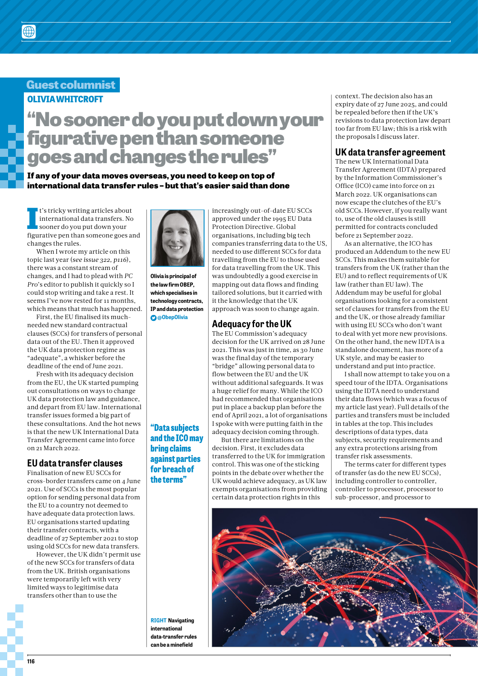### **Guest columnist OLIVIA WHITCROFT**

# **"No sooner do you put down your figurative pen than someone goes and changes the rules"**

#### **If any of your data moves overseas, you need to keep on top of international data transfer rules – but that's easier said than done**

**I**<sup>t</sup>'s tricky writing articles about<br>international data transfers. No<br>sooner do you put down your<br>figurative pen than someone goes and It's tricky writing articles about international data transfers. No sooner do you put down your changes the rules.

When I wrote my article on this topic last year (*see issue 322, p116*), there was a constant stream of changes, and I had to plead with *PC Pro*'s editor to publish it quickly so I could stop writing and take a rest. It seems I've now rested for 11 months, which means that much has happened.

First, the EU finalised its muchneeded new standard contractual clauses (SCCs) for transfers of personal data out of the EU. Then it approved the UK data protection regime as "adequate", a whisker before the deadline of the end of June 2021.

Fresh with its adequacy decision from the EU, the UK started pumping out consultations on ways to change UK data protection law and guidance, and depart from EU law. International transfer issues formed a big part of these consultations. And the hot news is that the new UK International Data Transfer Agreement came into force on 21 March 2022.

#### **EU data transfer clauses**

Finalisation of new EU SCCs for cross-border transfers came on 4 June 2021. Use of SCCs is the most popular option for sending personal data from the EU to a country not deemed to have adequate data protection laws. EU organisations started updating their transfer contracts, with a deadline of 27 September 2021 to stop using old SCCs for new data transfers.

However, the UK didn't permit use of the new SCCs for transfers of data from the UK. British organisations were temporarily left with very limited ways to legitimise data transfers other than to use the



**Olivia is principal of the law firm OBEP, which specialises in technology contracts, IP and data protection @ObepOlivia**

#### **"Data subjects and the ICO may bring claims against parties for breach of the terms"**

increasingly out-of-date EU SCCs approved under the 1995 EU Data Protection Directive. Global organisations, including big tech companies transferring data to the US, needed to use different SCCs for data travelling from the EU to those used for data travelling from the UK. This was undoubtedly a good exercise in mapping out data flows and finding tailored solutions, but it carried with it the knowledge that the UK approach was soon to change again.

#### **Adequacy for the UK**

The EU Commission's adequacy decision for the UK arrived on 28 June 2021. This was just in time, as 30 June was the final day of the temporary "bridge" allowing personal data to flow between the EU and the UK without additional safeguards. It was a huge relief for many. While the ICO had recommended that organisations put in place a backup plan before the end of April 2021, a lot of organisations I spoke with were putting faith in the adequacy decision coming through.

But there are limitations on the decision. First, it excludes data transferred to the UK for immigration control. This was one of the sticking points in the debate over whether the UK would achieve adequacy, as UK law exempts organisations from providing certain data protection rights in this

context. The decision also has an expiry date of 27 June 2025, and could be repealed before then if the UK's revisions to data protection law depart too far from EU law; this is a risk with the proposals I discuss later.

#### **UK data transfer agreement**

The new UK International Data Transfer Agreement (IDTA) prepared by the Information Commissioner's Office (ICO) came into force on 21 March 2022. UK organisations can now escape the clutches of the EU's old SCCs. However, if you really want to, use of the old clauses is still permitted for contracts concluded before 21 September 2022.

As an alternative, the ICO has produced an Addendum to the new EU SCCs. This makes them suitable for transfers from the UK (rather than the EU) and to reflect requirements of UK law (rather than EU law). The Addendum may be useful for global organisations looking for a consistent set of clauses for transfers from the EU and the UK, or those already familiar with using EU SCCs who don't want to deal with yet more new provisions. On the other hand, the new IDTA is a standalone document, has more of a UK style, and may be easier to understand and put into practice.

I shall now attempt to take you on a speed tour of the IDTA. Organisations using the IDTA need to understand their data flows (which was a focus of my article last year). Full details of the parties and transfers must be included in tables at the top. This includes descriptions of data types, data subjects, security requirements and any extra protections arising from transfer risk assessments.

The terms cater for different types of transfer (as do the new EU SCCs), including controller to controller, controller to processor, processor to sub-processor, and processor to



**RIGHT Navigating international data-transfer rules can be a minefield**